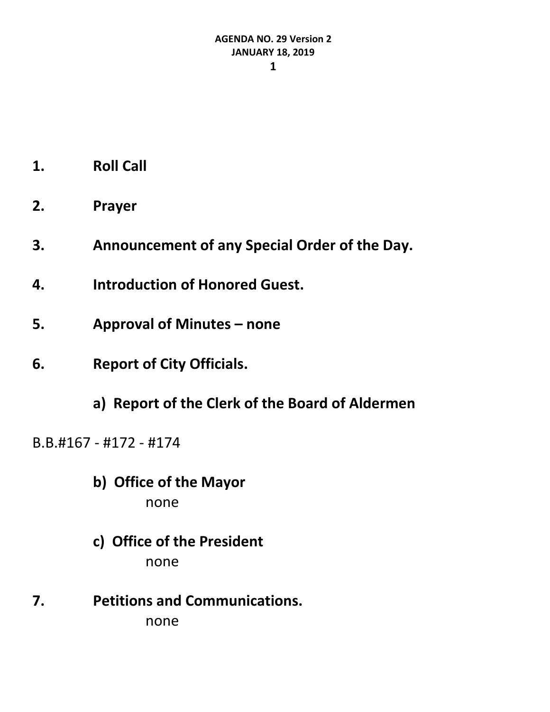- **1. Roll Call**
- **2. Prayer**
- **3. Announcement of any Special Order of the Day.**
- **4. Introduction of Honored Guest.**
- **5. Approval of Minutes – none**
- **6. Report of City Officials.**
	- **a) Report of the Clerk of the Board of Aldermen**

B.B.#167 - #172 - #174

- **b) Office of the Mayor** none
- **c) Office of the President** none
- **7. Petitions and Communications.** none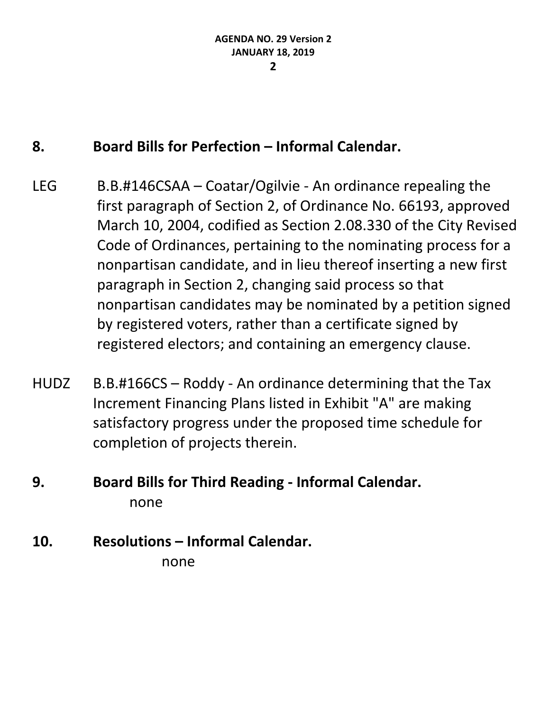### **8. Board Bills for Perfection – Informal Calendar.**

- LEG B.B.#146CSAA Coatar/Ogilvie An ordinance repealing the first paragraph of Section 2, of Ordinance No. 66193, approved March 10, 2004, codified as Section 2.08.330 of the City Revised Code of Ordinances, pertaining to the nominating process for a nonpartisan candidate, and in lieu thereof inserting a new first paragraph in Section 2, changing said process so that nonpartisan candidates may be nominated by a petition signed by registered voters, rather than a certificate signed by registered electors; and containing an emergency clause.
- HUDZ B.B.#166CS Roddy An ordinance determining that the Tax Increment Financing Plans listed in Exhibit "A" are making satisfactory progress under the proposed time schedule for completion of projects therein.

### **9. Board Bills for Third Reading - Informal Calendar.** none

# **10. Resolutions – Informal Calendar.**

none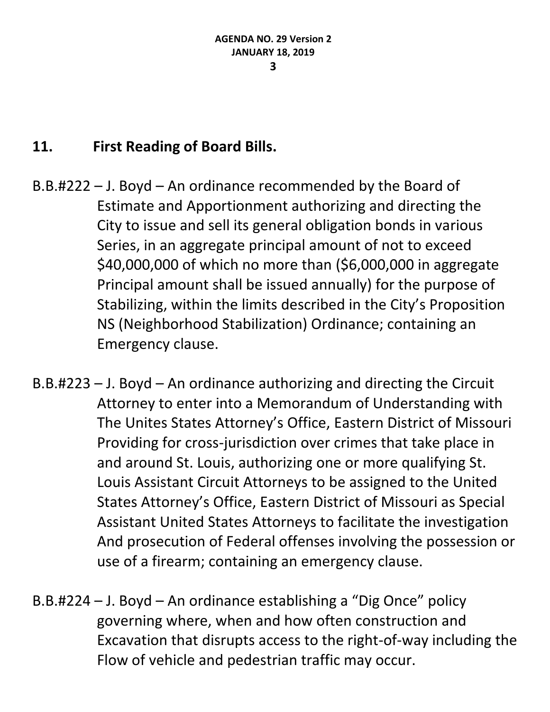### **11. First Reading of Board Bills.**

- B.B.#222 J. Boyd An ordinance recommended by the Board of Estimate and Apportionment authorizing and directing the City to issue and sell its general obligation bonds in various Series, in an aggregate principal amount of not to exceed \$40,000,000 of which no more than (\$6,000,000 in aggregate Principal amount shall be issued annually) for the purpose of Stabilizing, within the limits described in the City's Proposition NS (Neighborhood Stabilization) Ordinance; containing an Emergency clause.
- B.B.#223 J. Boyd An ordinance authorizing and directing the Circuit Attorney to enter into a Memorandum of Understanding with The Unites States Attorney's Office, Eastern District of Missouri Providing for cross-jurisdiction over crimes that take place in and around St. Louis, authorizing one or more qualifying St. Louis Assistant Circuit Attorneys to be assigned to the United States Attorney's Office, Eastern District of Missouri as Special Assistant United States Attorneys to facilitate the investigation And prosecution of Federal offenses involving the possession or use of a firearm; containing an emergency clause.
- B.B.#224 J. Boyd An ordinance establishing a "Dig Once" policy governing where, when and how often construction and Excavation that disrupts access to the right-of-way including the Flow of vehicle and pedestrian traffic may occur.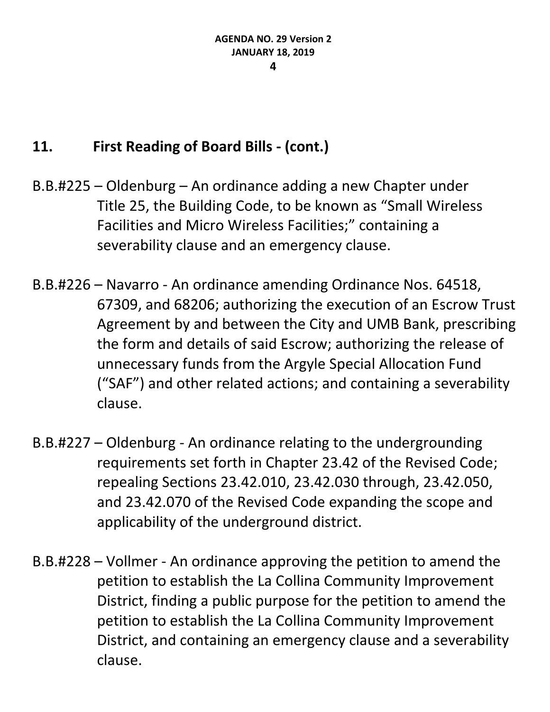### **11. First Reading of Board Bills - (cont.)**

- B.B.#225 Oldenburg An ordinance adding a new Chapter under Title 25, the Building Code, to be known as "Small Wireless Facilities and Micro Wireless Facilities;" containing a severability clause and an emergency clause.
- B.B.#226 Navarro An ordinance amending Ordinance Nos. 64518, 67309, and 68206; authorizing the execution of an Escrow Trust Agreement by and between the City and UMB Bank, prescribing the form and details of said Escrow; authorizing the release of unnecessary funds from the Argyle Special Allocation Fund ("SAF") and other related actions; and containing a severability clause.
- B.B.#227 Oldenburg An ordinance relating to the undergrounding requirements set forth in Chapter 23.42 of the Revised Code; repealing Sections 23.42.010, 23.42.030 through, 23.42.050, and 23.42.070 of the Revised Code expanding the scope and applicability of the underground district.
- B.B.#228 Vollmer An ordinance approving the petition to amend the petition to establish the La Collina Community Improvement District, finding a public purpose for the petition to amend the petition to establish the La Collina Community Improvement District, and containing an emergency clause and a severability clause.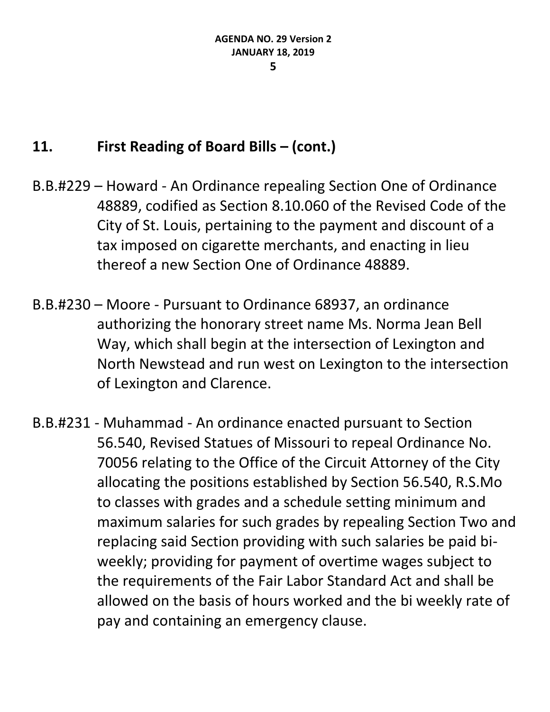#### **5**

### **11. First Reading of Board Bills – (cont.)**

- B.B.#229 Howard An Ordinance repealing Section One of Ordinance 48889, codified as Section 8.10.060 of the Revised Code of the City of St. Louis, pertaining to the payment and discount of a tax imposed on cigarette merchants, and enacting in lieu thereof a new Section One of Ordinance 48889.
- B.B.#230 Moore Pursuant to Ordinance 68937, an ordinance authorizing the honorary street name Ms. Norma Jean Bell Way, which shall begin at the intersection of Lexington and North Newstead and run west on Lexington to the intersection of Lexington and Clarence.
- B.B.#231 Muhammad An ordinance enacted pursuant to Section 56.540, Revised Statues of Missouri to repeal Ordinance No. 70056 relating to the Office of the Circuit Attorney of the City allocating the positions established by Section 56.540, R.S.Mo to classes with grades and a schedule setting minimum and maximum salaries for such grades by repealing Section Two and replacing said Section providing with such salaries be paid biweekly; providing for payment of overtime wages subject to the requirements of the Fair Labor Standard Act and shall be allowed on the basis of hours worked and the bi weekly rate of pay and containing an emergency clause.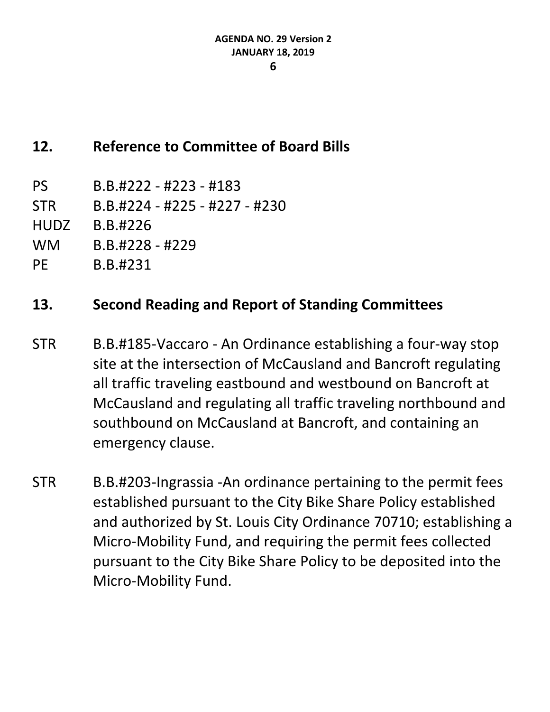### **12. Reference to Committee of Board Bills**

- PS B.B.#222 #223 #183
- STR B.B.#224 #225 #227 #230
- HUDZ B.B.#226
- WM B.B.#228 #229
- PE B.B.#231

- STR B.B.#185-Vaccaro An Ordinance establishing a four-way stop site at the intersection of McCausland and Bancroft regulating all traffic traveling eastbound and westbound on Bancroft at McCausland and regulating all traffic traveling northbound and southbound on McCausland at Bancroft, and containing an emergency clause.
- STR B.B.#203-Ingrassia -An ordinance pertaining to the permit fees established pursuant to the City Bike Share Policy established and authorized by St. Louis City Ordinance 70710; establishing a Micro-Mobility Fund, and requiring the permit fees collected pursuant to the City Bike Share Policy to be deposited into the Micro-Mobility Fund.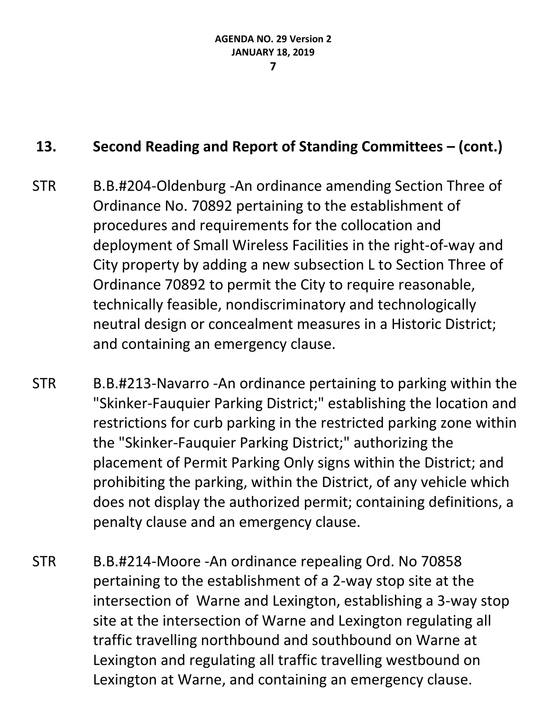- STR B.B.#204-Oldenburg -An ordinance amending Section Three of Ordinance No. 70892 pertaining to the establishment of procedures and requirements for the collocation and deployment of Small Wireless Facilities in the right-of-way and City property by adding a new subsection L to Section Three of Ordinance 70892 to permit the City to require reasonable, technically feasible, nondiscriminatory and technologically neutral design or concealment measures in a Historic District; and containing an emergency clause.
- STR B.B.#213-Navarro -An ordinance pertaining to parking within the "Skinker-Fauquier Parking District;" establishing the location and restrictions for curb parking in the restricted parking zone within the "Skinker-Fauquier Parking District;" authorizing the placement of Permit Parking Only signs within the District; and prohibiting the parking, within the District, of any vehicle which does not display the authorized permit; containing definitions, a penalty clause and an emergency clause.
- STR B.B.#214-Moore -An ordinance repealing Ord. No 70858 pertaining to the establishment of a 2-way stop site at the intersection of Warne and Lexington, establishing a 3-way stop site at the intersection of Warne and Lexington regulating all traffic travelling northbound and southbound on Warne at Lexington and regulating all traffic travelling westbound on Lexington at Warne, and containing an emergency clause.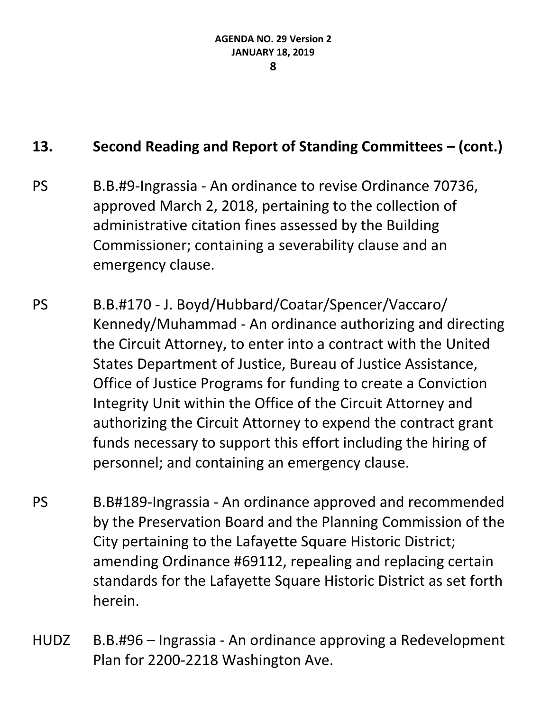- PS B.B.#9-Ingrassia An ordinance to revise Ordinance 70736, approved March 2, 2018, pertaining to the collection of administrative citation fines assessed by the Building Commissioner; containing a severability clause and an emergency clause.
- PS B.B.#170 J. Boyd/Hubbard/Coatar/Spencer/Vaccaro/ Kennedy/Muhammad - An ordinance authorizing and directing the Circuit Attorney, to enter into a contract with the United States Department of Justice, Bureau of Justice Assistance, Office of Justice Programs for funding to create a Conviction Integrity Unit within the Office of the Circuit Attorney and authorizing the Circuit Attorney to expend the contract grant funds necessary to support this effort including the hiring of personnel; and containing an emergency clause.
- PS B.B#189-Ingrassia An ordinance approved and recommended by the Preservation Board and the Planning Commission of the City pertaining to the Lafayette Square Historic District; amending Ordinance #69112, repealing and replacing certain standards for the Lafayette Square Historic District as set forth herein.
- HUDZ B.B.#96 Ingrassia An ordinance approving a Redevelopment Plan for 2200-2218 Washington Ave.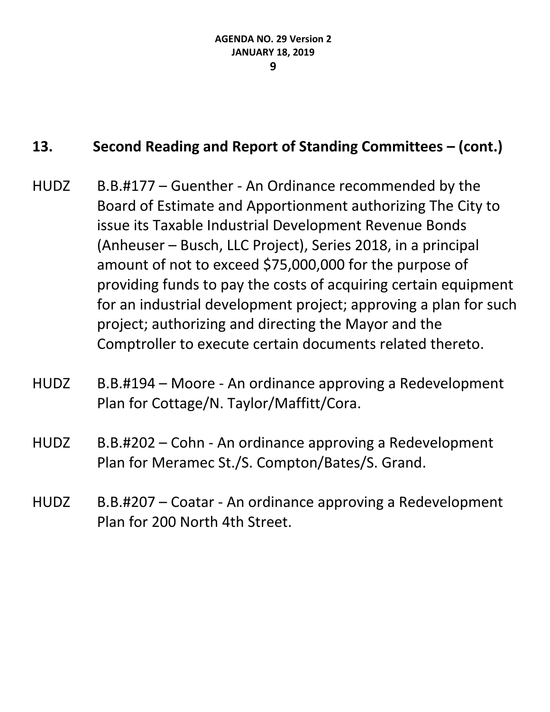- HUDZ B.B.#177 Guenther An Ordinance recommended by the Board of Estimate and Apportionment authorizing The City to issue its Taxable Industrial Development Revenue Bonds (Anheuser – Busch, LLC Project), Series 2018, in a principal amount of not to exceed \$75,000,000 for the purpose of providing funds to pay the costs of acquiring certain equipment for an industrial development project; approving a plan for such project; authorizing and directing the Mayor and the Comptroller to execute certain documents related thereto.
- HUDZ B.B.#194 Moore An ordinance approving a Redevelopment Plan for Cottage/N. Taylor/Maffitt/Cora.
- HUDZ B.B.#202 Cohn An ordinance approving a Redevelopment Plan for Meramec St./S. Compton/Bates/S. Grand.
- HUDZ B.B.#207 Coatar An ordinance approving a Redevelopment Plan for 200 North 4th Street.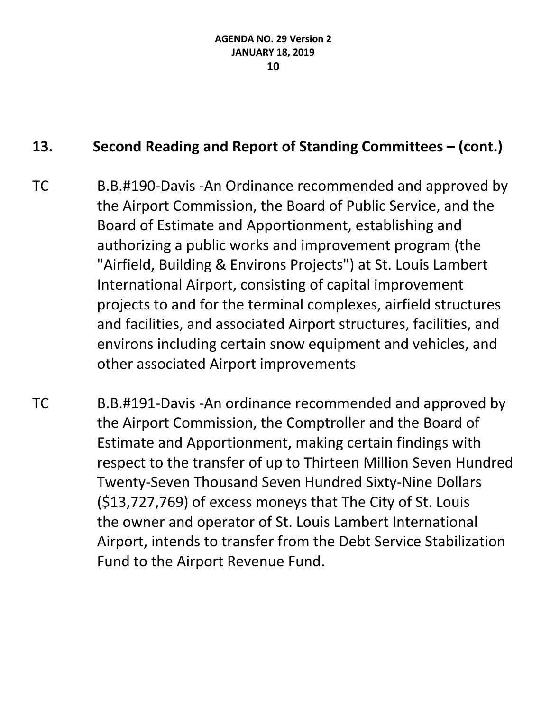- TC B.B.#190-Davis -An Ordinance recommended and approved by the Airport Commission, the Board of Public Service, and the Board of Estimate and Apportionment, establishing and authorizing a public works and improvement program (the "Airfield, Building & Environs Projects") at St. Louis Lambert International Airport, consisting of capital improvement projects to and for the terminal complexes, airfield structures and facilities, and associated Airport structures, facilities, and environs including certain snow equipment and vehicles, and other associated Airport improvements
- TC B.B.#191-Davis -An ordinance recommended and approved by the Airport Commission, the Comptroller and the Board of Estimate and Apportionment, making certain findings with respect to the transfer of up to Thirteen Million Seven Hundred Twenty-Seven Thousand Seven Hundred Sixty-Nine Dollars (\$13,727,769) of excess moneys that The City of St. Louis the owner and operator of St. Louis Lambert International Airport, intends to transfer from the Debt Service Stabilization Fund to the Airport Revenue Fund.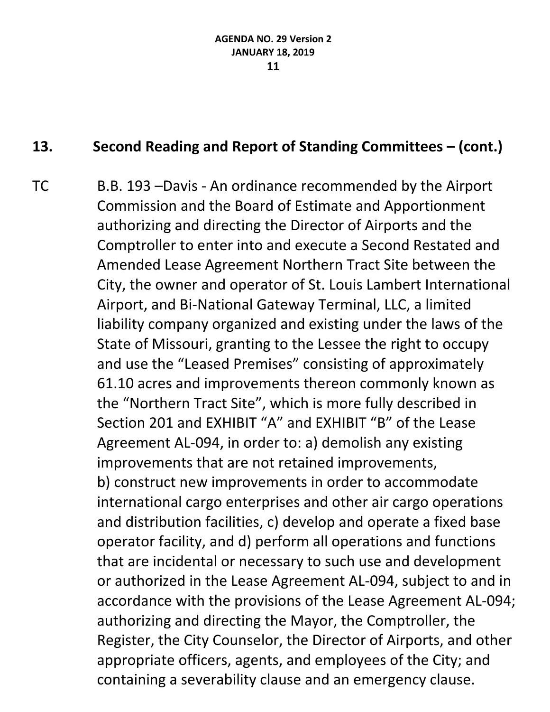TC B.B. 193 –Davis - An ordinance recommended by the Airport Commission and the Board of Estimate and Apportionment authorizing and directing the Director of Airports and the Comptroller to enter into and execute a Second Restated and Amended Lease Agreement Northern Tract Site between the City, the owner and operator of St. Louis Lambert International Airport, and Bi-National Gateway Terminal, LLC, a limited liability company organized and existing under the laws of the State of Missouri, granting to the Lessee the right to occupy and use the "Leased Premises" consisting of approximately 61.10 acres and improvements thereon commonly known as the "Northern Tract Site", which is more fully described in Section 201 and EXHIBIT "A" and EXHIBIT "B" of the Lease Agreement AL-094, in order to: a) demolish any existing improvements that are not retained improvements, b) construct new improvements in order to accommodate international cargo enterprises and other air cargo operations and distribution facilities, c) develop and operate a fixed base operator facility, and d) perform all operations and functions that are incidental or necessary to such use and development or authorized in the Lease Agreement AL-094, subject to and in accordance with the provisions of the Lease Agreement AL-094; authorizing and directing the Mayor, the Comptroller, the Register, the City Counselor, the Director of Airports, and other appropriate officers, agents, and employees of the City; and containing a severability clause and an emergency clause.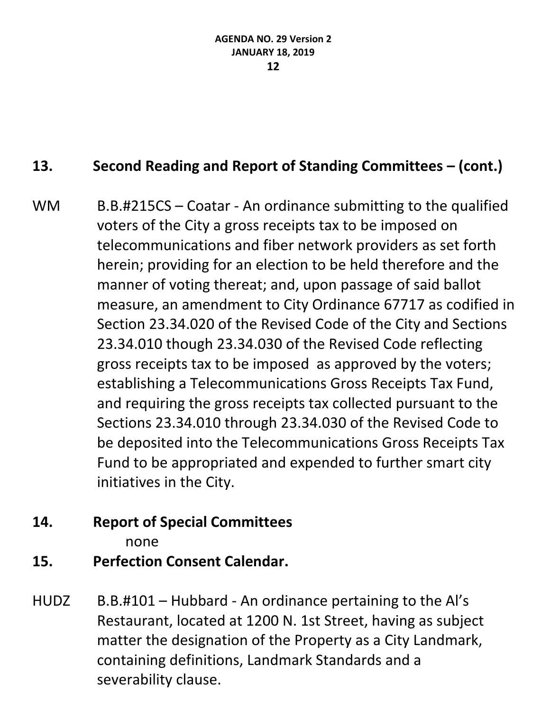WM B.B.#215CS – Coatar - An ordinance submitting to the qualified voters of the City a gross receipts tax to be imposed on telecommunications and fiber network providers as set forth herein; providing for an election to be held therefore and the manner of voting thereat; and, upon passage of said ballot measure, an amendment to City Ordinance 67717 as codified in Section 23.34.020 of the Revised Code of the City and Sections 23.34.010 though 23.34.030 of the Revised Code reflecting gross receipts tax to be imposed as approved by the voters; establishing a Telecommunications Gross Receipts Tax Fund, and requiring the gross receipts tax collected pursuant to the Sections 23.34.010 through 23.34.030 of the Revised Code to be deposited into the Telecommunications Gross Receipts Tax Fund to be appropriated and expended to further smart city initiatives in the City.

### **14. Report of Special Committees**

none

- **15. Perfection Consent Calendar.**
- HUDZ B.B.#101 Hubbard An ordinance pertaining to the Al's Restaurant, located at 1200 N. 1st Street, having as subject matter the designation of the Property as a City Landmark, containing definitions, Landmark Standards and a severability clause.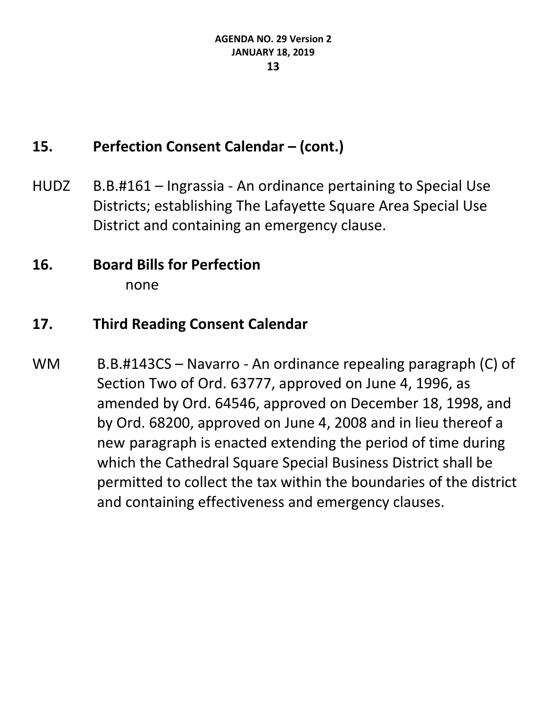### **15. Perfection Consent Calendar – (cont.)**

- HUDZ B.B.#161 Ingrassia An ordinance pertaining to Special Use Districts; establishing The Lafayette Square Area Special Use District and containing an emergency clause.
- **16. Board Bills for Perfection** none

### **17. Third Reading Consent Calendar**

WM B.B.#143CS – Navarro - An ordinance repealing paragraph (C) of Section Two of Ord. 63777, approved on June 4, 1996, as amended by Ord. 64546, approved on December 18, 1998, and by Ord. 68200, approved on June 4, 2008 and in lieu thereof a new paragraph is enacted extending the period of time during which the Cathedral Square Special Business District shall be permitted to collect the tax within the boundaries of the district and containing effectiveness and emergency clauses.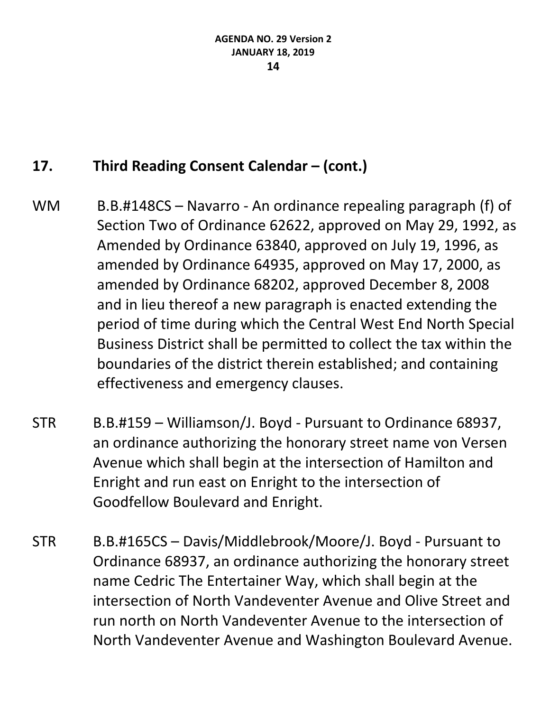### 17. Third Reading Consent Calendar – (cont.)

- WM B.B.#148CS Navarro An ordinance repealing paragraph (f) of Section Two of Ordinance 62622, approved on May 29, 1992, as Amended by Ordinance 63840, approved on July 19, 1996, as amended by Ordinance 64935, approved on May 17, 2000, as amended by Ordinance 68202, approved December 8, 2008 and in lieu thereof a new paragraph is enacted extending the period of time during which the Central West End North Special Business District shall be permitted to collect the tax within the boundaries of the district therein established; and containing effectiveness and emergency clauses.
- STR B.B.#159 Williamson/J. Boyd Pursuant to Ordinance 68937, an ordinance authorizing the honorary street name von Versen Avenue which shall begin at the intersection of Hamilton and Enright and run east on Enright to the intersection of Goodfellow Boulevard and Enright.
- STR B.B.#165CS Davis/Middlebrook/Moore/J. Boyd Pursuant to Ordinance 68937, an ordinance authorizing the honorary street name Cedric The Entertainer Way, which shall begin at the intersection of North Vandeventer Avenue and Olive Street and run north on North Vandeventer Avenue to the intersection of North Vandeventer Avenue and Washington Boulevard Avenue.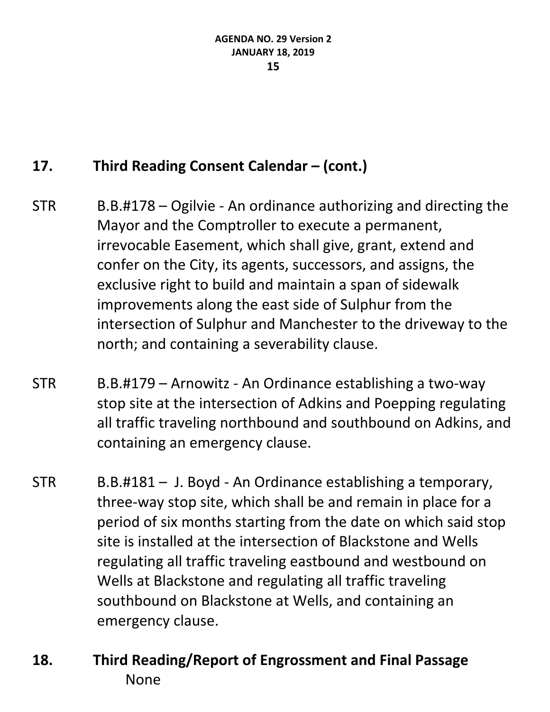## **17. Third Reading Consent Calendar – (cont.)**

- STR B.B.#178 Ogilvie An ordinance authorizing and directing the Mayor and the Comptroller to execute a permanent, irrevocable Easement, which shall give, grant, extend and confer on the City, its agents, successors, and assigns, the exclusive right to build and maintain a span of sidewalk improvements along the east side of Sulphur from the intersection of Sulphur and Manchester to the driveway to the north; and containing a severability clause.
- STR B.B.#179 Arnowitz An Ordinance establishing a two-way stop site at the intersection of Adkins and Poepping regulating all traffic traveling northbound and southbound on Adkins, and containing an emergency clause.
- STR B.B.#181 J. Boyd An Ordinance establishing a temporary, three-way stop site, which shall be and remain in place for a period of six months starting from the date on which said stop site is installed at the intersection of Blackstone and Wells regulating all traffic traveling eastbound and westbound on Wells at Blackstone and regulating all traffic traveling southbound on Blackstone at Wells, and containing an emergency clause.
- **18. Third Reading/Report of Engrossment and Final Passage** None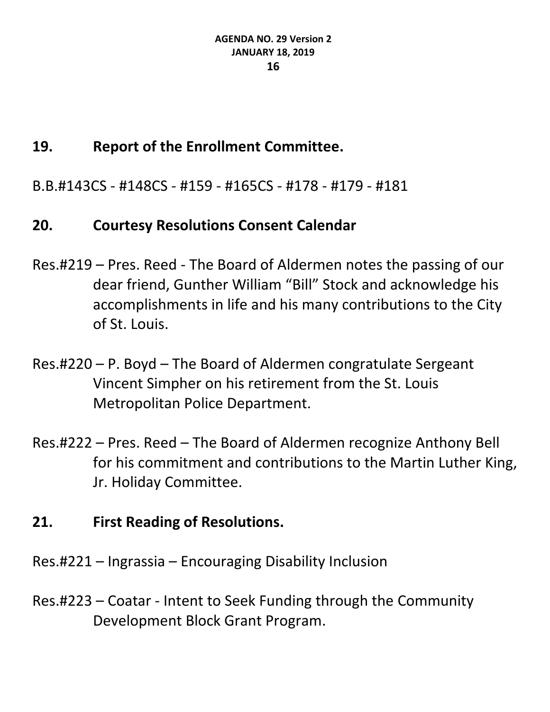### **19. Report of the Enrollment Committee.**

B.B.#143CS - #148CS - #159 - #165CS - #178 - #179 - #181

### **20. Courtesy Resolutions Consent Calendar**

- Res.#219 Pres. Reed The Board of Aldermen notes the passing of our dear friend, Gunther William "Bill" Stock and acknowledge his accomplishments in life and his many contributions to the City of St. Louis.
- Res.#220 P. Boyd The Board of Aldermen congratulate Sergeant Vincent Simpher on his retirement from the St. Louis Metropolitan Police Department.
- Res.#222 Pres. Reed The Board of Aldermen recognize Anthony Bell for his commitment and contributions to the Martin Luther King, Jr. Holiday Committee.

### **21. First Reading of Resolutions.**

- Res.#221 Ingrassia Encouraging Disability Inclusion
- Res.#223 Coatar Intent to Seek Funding through the Community Development Block Grant Program.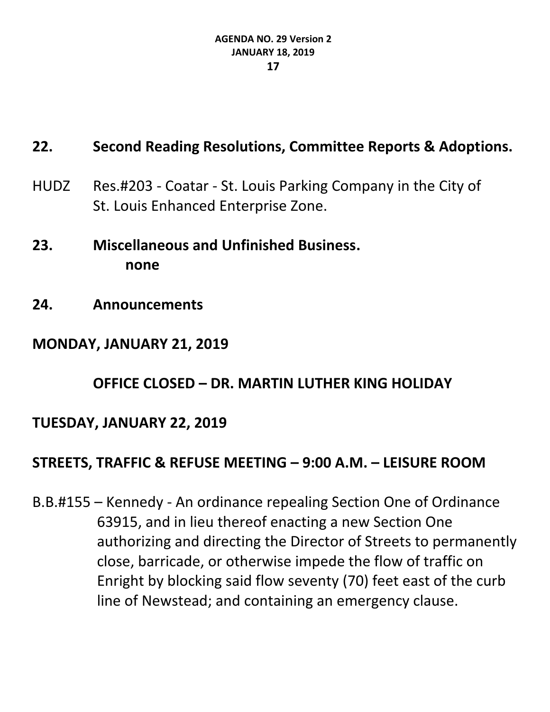## **22. Second Reading Resolutions, Committee Reports & Adoptions.**

- HUDZ Res.#203 Coatar St. Louis Parking Company in the City of St. Louis Enhanced Enterprise Zone.
- **23. Miscellaneous and Unfinished Business. none**
- **24. Announcements**

### **MONDAY, JANUARY 21, 2019**

**OFFICE CLOSED – DR. MARTIN LUTHER KING HOLIDAY**

### **TUESDAY, JANUARY 22, 2019**

### **STREETS, TRAFFIC & REFUSE MEETING – 9:00 A.M. – LEISURE ROOM**

B.B.#155 – Kennedy - An ordinance repealing Section One of Ordinance 63915, and in lieu thereof enacting a new Section One authorizing and directing the Director of Streets to permanently close, barricade, or otherwise impede the flow of traffic on Enright by blocking said flow seventy (70) feet east of the curb line of Newstead; and containing an emergency clause.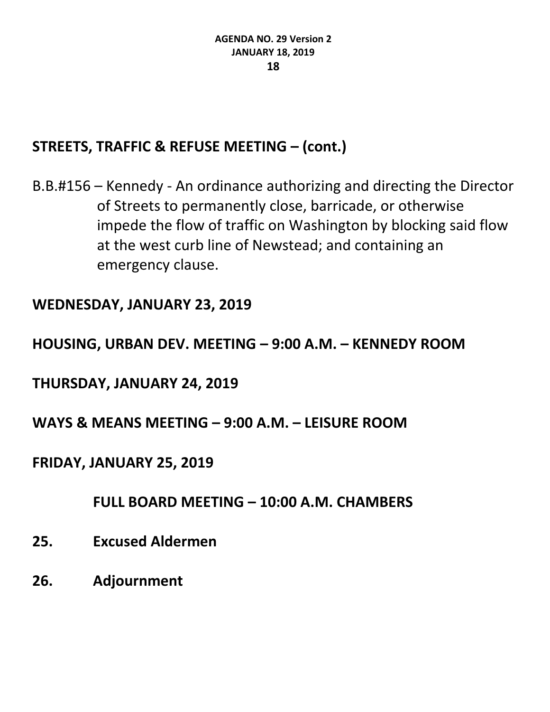### **STREETS, TRAFFIC & REFUSE MEETING – (cont.)**

B.B.#156 – Kennedy - An ordinance authorizing and directing the Director of Streets to permanently close, barricade, or otherwise impede the flow of traffic on Washington by blocking said flow at the west curb line of Newstead; and containing an emergency clause.

### **WEDNESDAY, JANUARY 23, 2019**

### **HOUSING, URBAN DEV. MEETING – 9:00 A.M. – KENNEDY ROOM**

### **THURSDAY, JANUARY 24, 2019**

### **WAYS & MEANS MEETING – 9:00 A.M. – LEISURE ROOM**

### **FRIDAY, JANUARY 25, 2019**

#### **FULL BOARD MEETING – 10:00 A.M. CHAMBERS**

- **25. Excused Aldermen**
- **26. Adjournment**